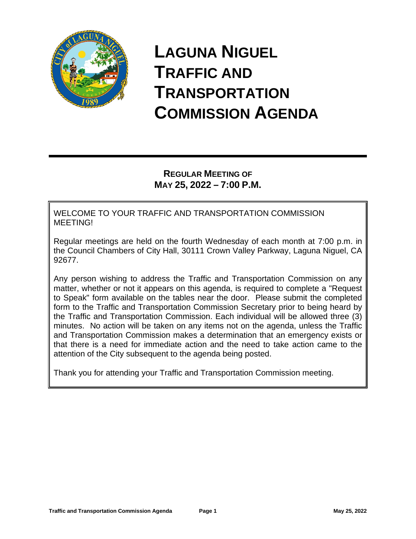

# **LAGUNA NIGUEL TRAFFIC AND TRANSPORTATION COMMISSION AGENDA**

# **REGULAR MEETING OF MAY 25, 2022 – 7:00 P.M.**

WELCOME TO YOUR TRAFFIC AND TRANSPORTATION COMMISSION MEETING!

Regular meetings are held on the fourth Wednesday of each month at 7:00 p.m. in the Council Chambers of City Hall, 30111 Crown Valley Parkway, Laguna Niguel, CA 92677.

Any person wishing to address the Traffic and Transportation Commission on any matter, whether or not it appears on this agenda, is required to complete a "Request to Speak" form available on the tables near the door. Please submit the completed form to the Traffic and Transportation Commission Secretary prior to being heard by the Traffic and Transportation Commission. Each individual will be allowed three (3) minutes. No action will be taken on any items not on the agenda, unless the Traffic and Transportation Commission makes a determination that an emergency exists or that there is a need for immediate action and the need to take action came to the attention of the City subsequent to the agenda being posted.

Thank you for attending your Traffic and Transportation Commission meeting.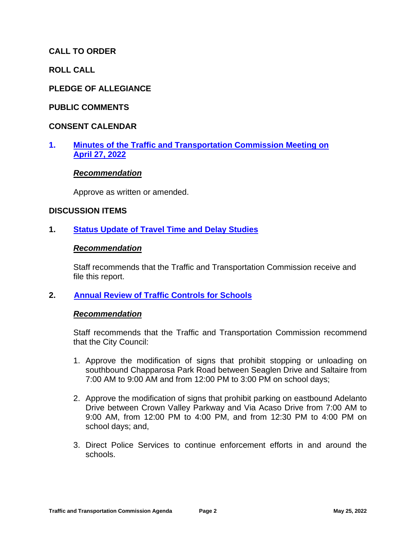# **CALL TO ORDER**

**ROLL CALL**

## **PLEDGE OF ALLEGIANCE**

#### **PUBLIC COMMENTS**

#### **CONSENT CALENDAR**

# **1. [Minutes of the Traffic and Transportation Commission Meeting on](https://cityoflagunaniguel.org/DocumentCenter/View/22760/T-C-Minutes-4-27-22-)  [April 27, 2022](https://cityoflagunaniguel.org/DocumentCenter/View/22760/T-C-Minutes-4-27-22-)**

#### *Recommendation*

Approve as written or amended.

#### **DISCUSSION ITEMS**

## **1. [Status Update of Travel Time and Delay Studies](https://cityoflagunaniguel.org/DocumentCenter/View/22758/Status-Update-of-Travel-Time-and-Delay-Studies)**

#### *Recommendation*

Staff recommends that the Traffic and Transportation Commission receive and file this report.

#### **2. [Annual Review of Traffic Controls for Schools](https://cityoflagunaniguel.org/DocumentCenter/View/22757/Annual-Review-of-Traffic-Controls-for-Schools)**

#### *Recommendation*

Staff recommends that the Traffic and Transportation Commission recommend that the City Council:

- 1. Approve the modification of signs that prohibit stopping or unloading on southbound Chapparosa Park Road between Seaglen Drive and Saltaire from 7:00 AM to 9:00 AM and from 12:00 PM to 3:00 PM on school days;
- 2. Approve the modification of signs that prohibit parking on eastbound Adelanto Drive between Crown Valley Parkway and Via Acaso Drive from 7:00 AM to 9:00 AM, from 12:00 PM to 4:00 PM, and from 12:30 PM to 4:00 PM on school days; and,
- 3. Direct Police Services to continue enforcement efforts in and around the schools.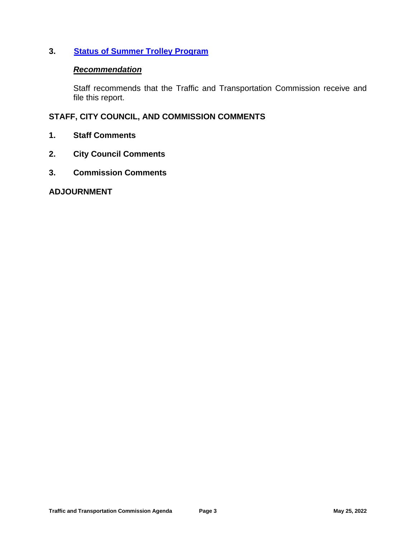# **3. [Status of Summer Trolley Program](https://cityoflagunaniguel.org/DocumentCenter/View/22759/Status-of-Summer-Trolley-Program)**

# *Recommendation*

Staff recommends that the Traffic and Transportation Commission receive and file this report.

# **STAFF, CITY COUNCIL, AND COMMISSION COMMENTS**

- **1. Staff Comments**
- **2. City Council Comments**
- **3. Commission Comments**

#### **ADJOURNMENT**